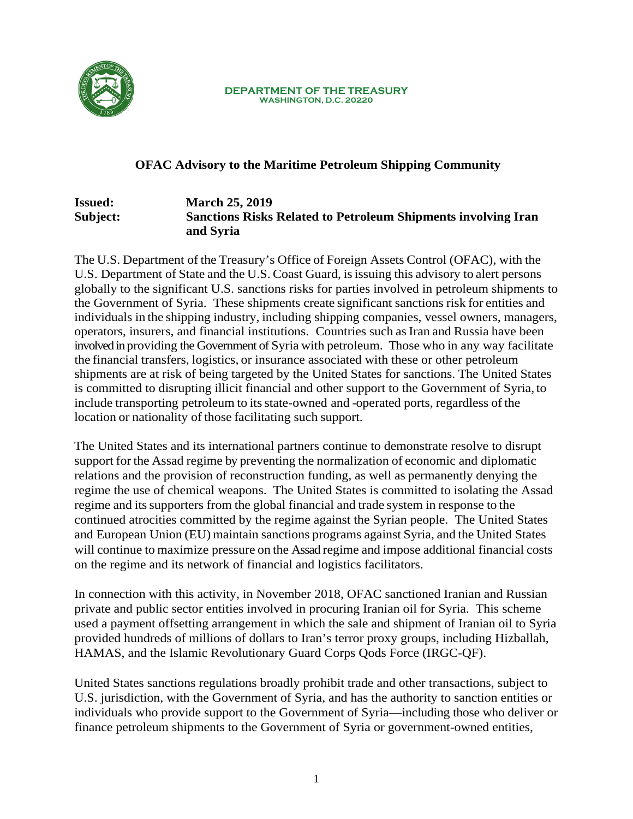

**DEPARTMENT OF THE TREASURY WASHINGTON, D.C. 20220**

## **OFAC Advisory to the Maritime Petroleum Shipping Community**

#### **Issued: March 25, 2019 Subject: Sanctions Risks Related to Petroleum Shipments involving Iran and Syria**

The U.S. Department of the Treasury's Office of Foreign Assets Control (OFAC), with the U.S. Department of State and the U.S. Coast Guard, is issuing this advisory to alert persons globally to the significant U.S. sanctions risks for parties involved in petroleum shipments to the Government of Syria. These shipments create significant sanctions risk for entities and individuals in the shipping industry, including shipping companies, vessel owners, managers, operators, insurers, and financial institutions. Countries such as Iran and Russia have been involved in providing the Government of Syria with petroleum. Those who in any way facilitate the financial transfers, logistics, or insurance associated with these or other petroleum shipments are at risk of being targeted by the United States for sanctions. The United States is committed to disrupting illicit financial and other support to the Government of Syria, to include transporting petroleum to its state-owned and -operated ports, regardless of the location or nationality of those facilitating such support.

The United States and its international partners continue to demonstrate resolve to disrupt support for the Assad regime by preventing the normalization of economic and diplomatic relations and the provision of reconstruction funding, as well as permanently denying the regime the use of chemical weapons. The United States is committed to isolating the Assad regime and its supporters from the global financial and trade system in response to the continued atrocities committed by the regime against the Syrian people. The United States and European Union (EU) maintain sanctions programs against Syria, and the United States will continue to maximize pressure on the Assad regime and impose additional financial costs on the regime and its network of financial and logistics facilitators.

In connection with this activity, in November 2018, OFAC sanctioned Iranian and Russian private and public sector entities involved in procuring Iranian oil for Syria. This scheme used a payment offsetting arrangement in which the sale and shipment of Iranian oil to Syria provided hundreds of millions of dollars to Iran's terror proxy groups, including Hizballah, HAMAS, and the Islamic Revolutionary Guard Corps Qods Force (IRGC-QF).

United States sanctions regulations broadly prohibit trade and other transactions, subject to U.S. jurisdiction, with the Government of Syria, and has the authority to sanction entities or individuals who provide support to the Government of Syria—including those who deliver or finance petroleum shipments to the Government of Syria or government-owned entities,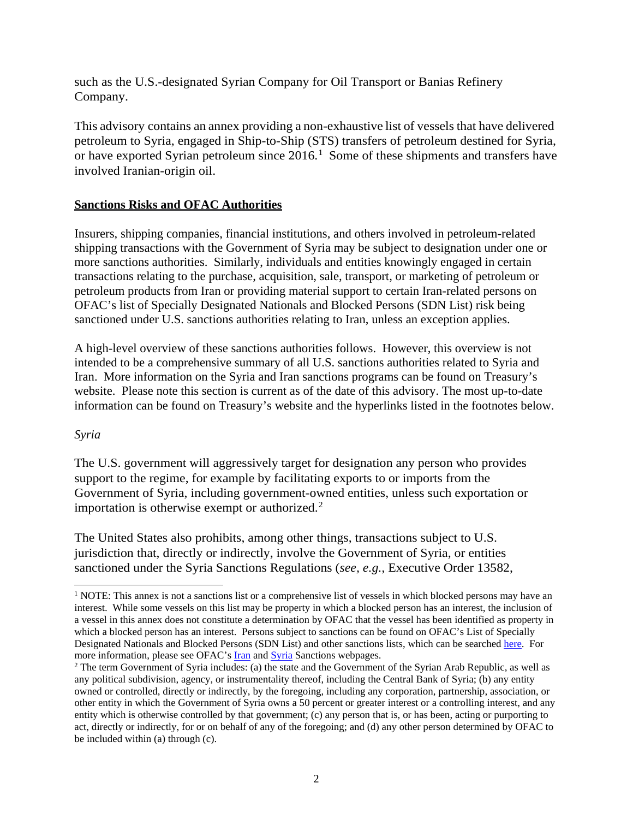such as the U.S.-designated Syrian Company for Oil Transport or Banias Refinery Company.

This advisory contains an annex providing a non-exhaustive list of vessels that have delivered petroleum to Syria, engaged in Ship-to-Ship (STS) transfers of petroleum destined for Syria, or have exported Syrian petroleum since  $2016$  $2016$  $2016$ .<sup>1</sup> Some of these shipments and transfers have involved Iranian-origin oil.

## **Sanctions Risks and OFAC Authorities**

Insurers, shipping companies, financial institutions, and others involved in petroleum-related shipping transactions with the Government of Syria may be subject to designation under one or more sanctions authorities. Similarly, individuals and entities knowingly engaged in certain transactions relating to the purchase, acquisition, sale, transport, or marketing of petroleum or petroleum products from Iran or providing material support to certain Iran-related persons on OFAC's list of Specially Designated Nationals and Blocked Persons (SDN List) risk being sanctioned under U.S. sanctions authorities relating to Iran, unless an exception applies.

A high-level overview of these sanctions authorities follows. However, this overview is not intended to be a comprehensive summary of all U.S. sanctions authorities related to Syria and Iran. More information on the Syria and Iran sanctions programs can be found on Treasury's website. Please note this section is current as of the date of this advisory. The most up-to-date information can be found on Treasury's website and the hyperlinks listed in the footnotes below.

#### *Syria*

The U.S. government will aggressively target for designation any person who provides support to the regime, for example by facilitating exports to or imports from the Government of Syria, including government-owned entities, unless such exportation or importation is otherwise exempt or authorized.<sup>[2](#page-1-1)</sup>

The United States also prohibits, among other things, transactions subject to U.S. jurisdiction that, directly or indirectly, involve the Government of Syria, or entities sanctioned under the Syria Sanctions Regulations (*see, e.g.,* Executive Order 13582,

<span id="page-1-0"></span><sup>&</sup>lt;sup>1</sup> NOTE: This annex is not a sanctions list or a comprehensive list of vessels in which blocked persons may have an interest. While some vessels on this list may be property in which a blocked person has an interest, the inclusion of a vessel in this annex does not constitute a determination by OFAC that the vessel has been identified as property in which a blocked person has an interest. Persons subject to sanctions can be found on OFAC's List of Specially Designated Nationals and Blocked Persons (SDN List) and other sanctions lists, which can be searche[d here.](https://www.treasury.gov/resource-center/sanctions/SDN-List/Pages/default.aspx) For more information, please see OFAC's [Iran](https://www.treasury.gov/resource-center/sanctions/Programs/Pages/iran.aspx) and [Syria](https://www.treasury.gov/resource-center/sanctions/Programs/pages/syria.aspx) Sanctions webpages.

<span id="page-1-1"></span><sup>&</sup>lt;sup>2</sup> The term Government of Syria includes: (a) the state and the Government of the Syrian Arab Republic, as well as any political subdivision, agency, or instrumentality thereof, including the Central Bank of Syria; (b) any entity owned or controlled, directly or indirectly, by the foregoing, including any corporation, partnership, association, or other entity in which the Government of Syria owns a 50 percent or greater interest or a controlling interest, and any entity which is otherwise controlled by that government; (c) any person that is, or has been, acting or purporting to act, directly or indirectly, for or on behalf of any of the foregoing; and (d) any other person determined by OFAC to be included within (a) through (c).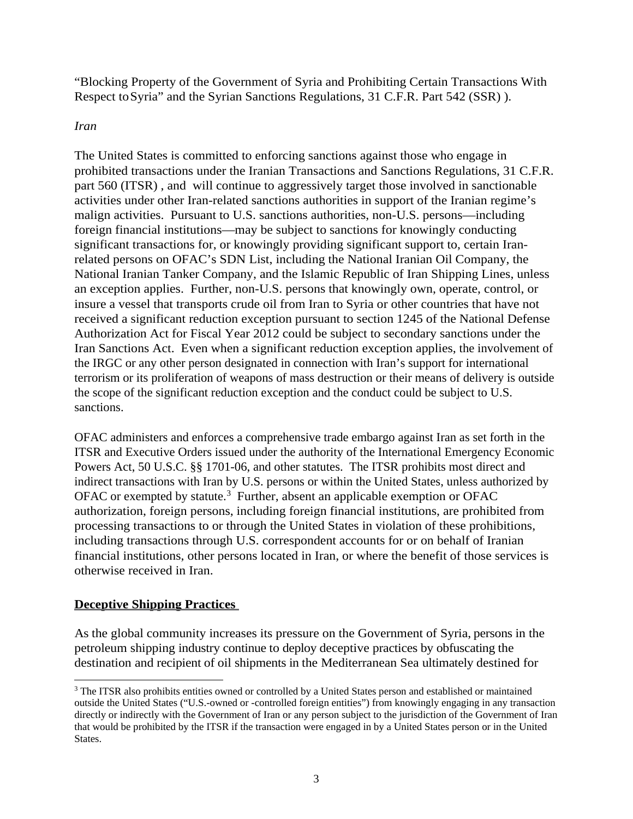"Blocking Property of the Government of Syria and Prohibiting Certain Transactions With Respect toSyria" and the Syrian Sanctions Regulations, 31 C.F.R. Part 542 (SSR) ).

## *Iran*

The United States is committed to enforcing sanctions against those who engage in prohibited transactions under the Iranian Transactions and Sanctions Regulations, 31 C.F.R. part 560 (ITSR) , and will continue to aggressively target those involved in sanctionable activities under other Iran-related sanctions authorities in support of the Iranian regime's malign activities. Pursuant to U.S. sanctions authorities, non-U.S. persons—including foreign financial institutions—may be subject to sanctions for knowingly conducting significant transactions for, or knowingly providing significant support to, certain Iranrelated persons on OFAC's SDN List, including the National Iranian Oil Company, the National Iranian Tanker Company, and the Islamic Republic of Iran Shipping Lines, unless an exception applies. Further, non-U.S. persons that knowingly own, operate, control, or insure a vessel that transports crude oil from Iran to Syria or other countries that have not received a significant reduction exception pursuant to section 1245 of the National Defense Authorization Act for Fiscal Year 2012 could be subject to secondary sanctions under the Iran Sanctions Act. Even when a significant reduction exception applies, the involvement of the IRGC or any other person designated in connection with Iran's support for international terrorism or its proliferation of weapons of mass destruction or their means of delivery is outside the scope of the significant reduction exception and the conduct could be subject to U.S. sanctions.

OFAC administers and enforces a comprehensive trade embargo against Iran as set forth in the ITSR and Executive Orders issued under the authority of the International Emergency Economic Powers Act, 50 U.S.C. §§ 1701-06, and other statutes. The ITSR prohibits most direct and indirect transactions with Iran by U.S. persons or within the United States, unless authorized by OFAC or exempted by statute.<sup>[3](#page-2-0)</sup> Further, absent an applicable exemption or OFAC authorization, foreign persons, including foreign financial institutions, are prohibited from processing transactions to or through the United States in violation of these prohibitions, including transactions through U.S. correspondent accounts for or on behalf of Iranian financial institutions, other persons located in Iran, or where the benefit of those services is otherwise received in Iran.

## **Deceptive Shipping Practices**

As the global community increases its pressure on the Government of Syria, persons in the petroleum shipping industry continue to deploy deceptive practices by obfuscating the destination and recipient of oil shipments in the Mediterranean Sea ultimately destined for

<span id="page-2-0"></span> <sup>3</sup> The ITSR also prohibits entities owned or controlled by a United States person and established or maintained outside the United States ("U.S.-owned or -controlled foreign entities") from knowingly engaging in any transaction directly or indirectly with the Government of Iran or any person subject to the jurisdiction of the Government of Iran that would be prohibited by the ITSR if the transaction were engaged in by a United States person or in the United States.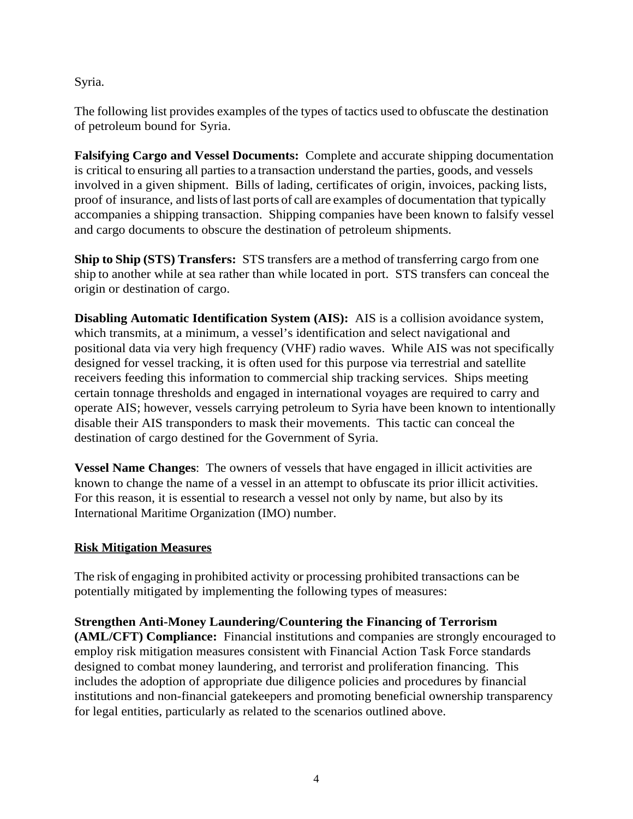Syria.

The following list provides examples of the types of tactics used to obfuscate the destination of petroleum bound for Syria.

**Falsifying Cargo and Vessel Documents:** Complete and accurate shipping documentation is critical to ensuring all parties to a transaction understand the parties, goods, and vessels involved in a given shipment. Bills of lading, certificates of origin, invoices, packing lists, proof of insurance, and lists of last ports of call are examples of documentation that typically accompanies a shipping transaction. Shipping companies have been known to falsify vessel and cargo documents to obscure the destination of petroleum shipments.

**Ship to Ship (STS) Transfers:** STS transfers are a method of transferring cargo from one ship to another while at sea rather than while located in port. STS transfers can conceal the origin or destination of cargo.

**Disabling Automatic Identification System (AIS):** AIS is a collision avoidance system, which transmits, at a minimum, a vessel's identification and select navigational and positional data via very high frequency (VHF) radio waves. While AIS was not specifically designed for vessel tracking, it is often used for this purpose via terrestrial and satellite receivers feeding this information to commercial ship tracking services. Ships meeting certain tonnage thresholds and engaged in international voyages are required to carry and operate AIS; however, vessels carrying petroleum to Syria have been known to intentionally disable their AIS transponders to mask their movements. This tactic can conceal the destination of cargo destined for the Government of Syria.

**Vessel Name Changes**: The owners of vessels that have engaged in illicit activities are known to change the name of a vessel in an attempt to obfuscate its prior illicit activities. For this reason, it is essential to research a vessel not only by name, but also by its International Maritime Organization (IMO) number.

## **Risk Mitigation Measures**

The risk of engaging in prohibited activity or processing prohibited transactions can be potentially mitigated by implementing the following types of measures:

## **Strengthen Anti-Money Laundering/Countering the Financing of Terrorism**

**(AML/CFT) Compliance:** Financial institutions and companies are strongly encouraged to employ risk mitigation measures consistent with Financial Action Task Force standards designed to combat money laundering, and terrorist and proliferation financing. This includes the adoption of appropriate due diligence policies and procedures by financial institutions and non-financial gatekeepers and promoting beneficial ownership transparency for legal entities, particularly as related to the scenarios outlined above.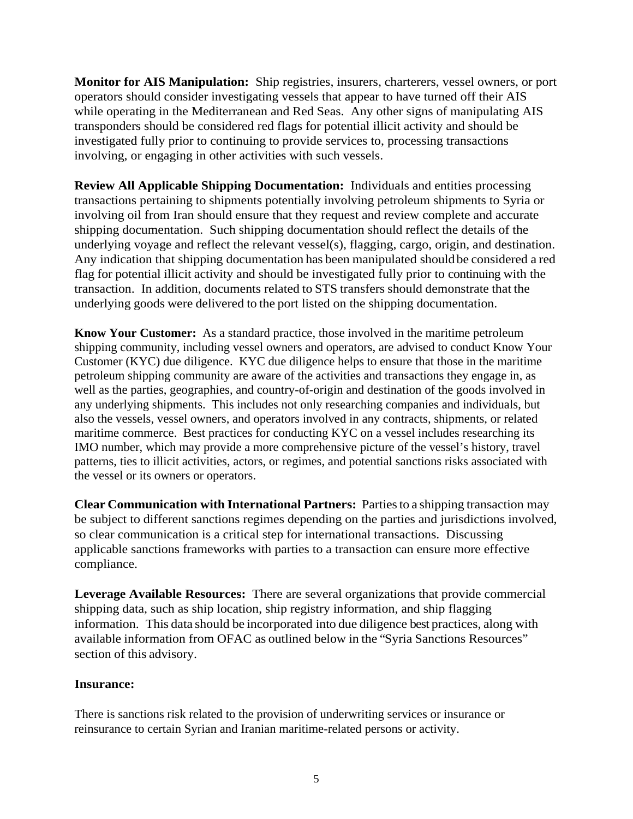**Monitor for AIS Manipulation:** Ship registries, insurers, charterers, vessel owners, or port operators should consider investigating vessels that appear to have turned off their AIS while operating in the Mediterranean and Red Seas. Any other signs of manipulating AIS transponders should be considered red flags for potential illicit activity and should be investigated fully prior to continuing to provide services to, processing transactions involving, or engaging in other activities with such vessels.

**Review All Applicable Shipping Documentation:** Individuals and entities processing transactions pertaining to shipments potentially involving petroleum shipments to Syria or involving oil from Iran should ensure that they request and review complete and accurate shipping documentation. Such shipping documentation should reflect the details of the underlying voyage and reflect the relevant vessel(s), flagging, cargo, origin, and destination. Any indication that shipping documentation has been manipulated should be considered a red flag for potential illicit activity and should be investigated fully prior to continuing with the transaction. In addition, documents related to STS transfers should demonstrate that the underlying goods were delivered to the port listed on the shipping documentation.

**Know Your Customer:** As a standard practice, those involved in the maritime petroleum shipping community, including vessel owners and operators, are advised to conduct Know Your Customer (KYC) due diligence. KYC due diligence helps to ensure that those in the maritime petroleum shipping community are aware of the activities and transactions they engage in, as well as the parties, geographies, and country-of-origin and destination of the goods involved in any underlying shipments. This includes not only researching companies and individuals, but also the vessels, vessel owners, and operators involved in any contracts, shipments, or related maritime commerce. Best practices for conducting KYC on a vessel includes researching its IMO number, which may provide a more comprehensive picture of the vessel's history, travel patterns, ties to illicit activities, actors, or regimes, and potential sanctions risks associated with the vessel or its owners or operators.

**Clear Communication with International Partners:** Partiesto a shipping transaction may be subject to different sanctions regimes depending on the parties and jurisdictions involved, so clear communication is a critical step for international transactions. Discussing applicable sanctions frameworks with parties to a transaction can ensure more effective compliance.

**Leverage Available Resources:** There are several organizations that provide commercial shipping data, such as ship location, ship registry information, and ship flagging information. This data should be incorporated into due diligence best practices, along with available information from OFAC as outlined below in the "Syria Sanctions Resources" section of this advisory.

#### **Insurance:**

There is sanctions risk related to the provision of underwriting services or insurance or reinsurance to certain Syrian and Iranian maritime-related persons or activity.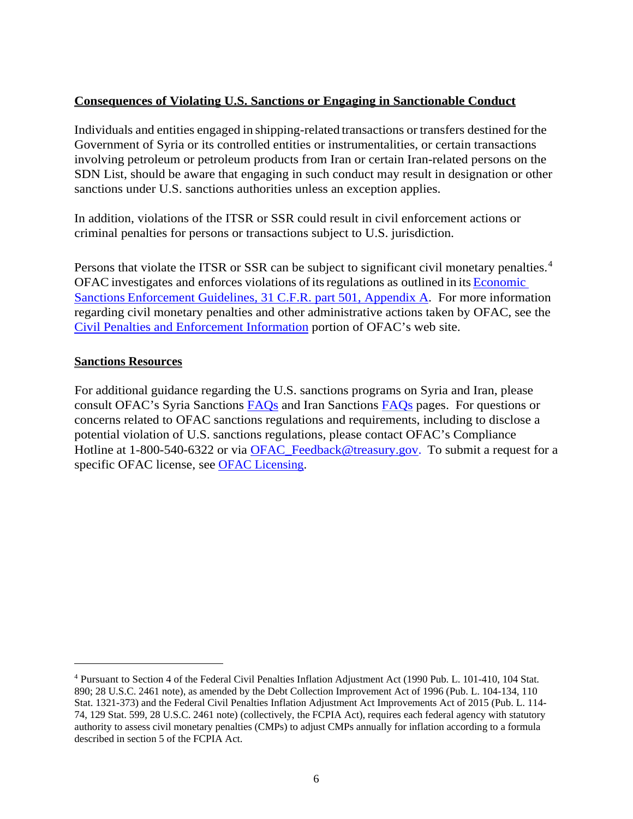## **Consequences of Violating U.S. Sanctions or Engaging in Sanctionable Conduct**

Individuals and entities engaged in shipping-related transactions or transfers destined for the Government of Syria or its controlled entities or instrumentalities, or certain transactions involving petroleum or petroleum products from Iran or certain Iran-related persons on the SDN List, should be aware that engaging in such conduct may result in designation or other sanctions under U.S. sanctions authorities unless an exception applies.

In addition, violations of the ITSR or SSR could result in civil enforcement actions or criminal penalties for persons or transactions subject to U.S. jurisdiction.

Persons that violate the ITSR or SSR can be subject to significant civil monetary penalties.<sup>[4](#page-5-0)</sup> OFAC investigates and enforces violations of itsregulations as outlined in its [Economic](https://www.treasury.gov/resource-center/sanctions/Documents/fr74_57593.pdf) Sanctions [Enforcement Guidelines, 31 C.F.R. part 501, Appendix A.](https://www.treasury.gov/resource-center/sanctions/Documents/fr74_57593.pdf) For more information regarding civil monetary penalties and other administrative actions taken by OFAC, see the [Civil Penalties and Enforcement Information](https://www.treasury.gov/resource-center/sanctions/CivPen/Pages/civpen-index2.aspx) portion of OFAC's web site.

## **Sanctions Resources**

 $\overline{a}$ 

For additional guidance regarding the U.S. sanctions programs on Syria and Iran, please consult OFAC's Syria Sanctions [FAQs](https://www.treasury.gov/resource-center/faqs/Sanctions/Pages/faq_other.aspx#syria_whole) and Iran Sanctions [FAQs](https://www.treasury.gov/resource-center/faqs/Sanctions/Pages/faq_iran.aspx) pages. For questions or concerns related to OFAC sanctions regulations and requirements, including to disclose a potential violation of U.S. sanctions regulations, please contact OFAC's Compliance Hotline at 1-800-540-6322 or via [OFAC\\_Feedback@treasury.gov.](mailto:OFAC_Feedback@treasury.gov.) To submit a request for a specific OFAC license, see [OFAC Licensing.](https://licensing.ofac.treas.gov/Apply/Introduction.aspx)

<span id="page-5-0"></span><sup>4</sup> Pursuant to Section 4 of the Federal Civil Penalties Inflation Adjustment Act (1990 Pub. L. 101-410, 104 Stat. 890; 28 U.S.C. 2461 note), as amended by the Debt Collection Improvement Act of 1996 (Pub. L. 104-134, 110 Stat. 1321-373) and the Federal Civil Penalties Inflation Adjustment Act Improvements Act of 2015 (Pub. L. 114- 74, 129 Stat. 599, 28 U.S.C. 2461 note) (collectively, the FCPIA Act), requires each federal agency with statutory authority to assess civil monetary penalties (CMPs) to adjust CMPs annually for inflation according to a formula described in section 5 of the FCPIA Act.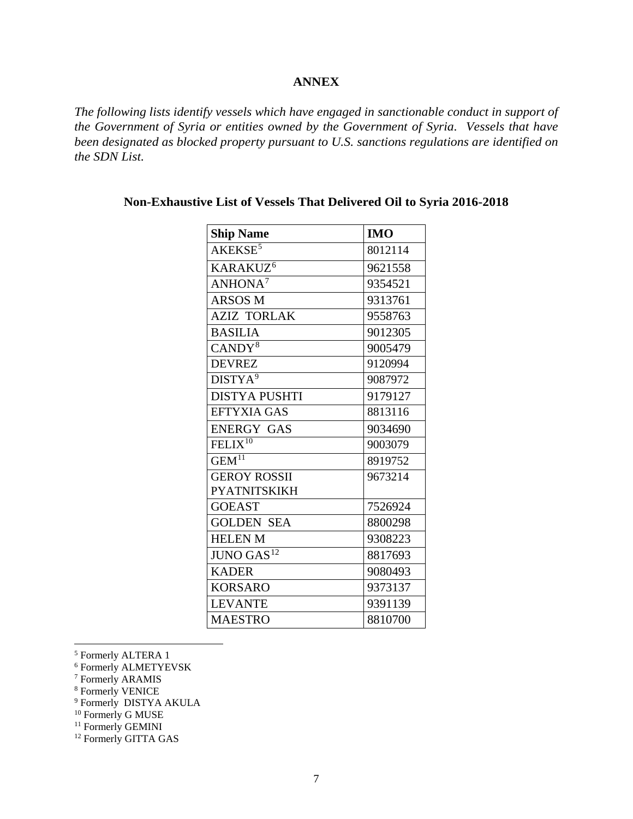#### **ANNEX**

*The following lists identify vessels which have engaged in sanctionable conduct in support of the Government of Syria or entities owned by the Government of Syria. Vessels that have been designated as blocked property pursuant to U.S. sanctions regulations are identified on the SDN List.*

| <b>Ship Name</b>       | <b>IMO</b> |
|------------------------|------------|
| AKEKSE <sup>5</sup>    | 8012114    |
| KARAKUZ <sup>6</sup>   | 9621558    |
| ANHONA <sup>7</sup>    | 9354521    |
| <b>ARSOS M</b>         | 9313761    |
| <b>AZIZ TORLAK</b>     | 9558763    |
| <b>BASILIA</b>         | 9012305    |
| CANDY <sup>8</sup>     | 9005479    |
| <b>DEVREZ</b>          | 9120994    |
| DISTYA <sup>9</sup>    | 9087972    |
| <b>DISTYA PUSHTI</b>   | 9179127    |
| <b>EFTYXIA GAS</b>     | 8813116    |
| <b>ENERGY GAS</b>      | 9034690    |
| FELIX $10$             | 9003079    |
| $GEM$ <sup>11</sup>    | 8919752    |
| <b>GEROY ROSSII</b>    | 9673214    |
| <b>PYATNITSKIKH</b>    |            |
| <b>GOEAST</b>          | 7526924    |
| <b>GOLDEN SEA</b>      | 8800298    |
| <b>HELEN M</b>         | 9308223    |
| JUNO GAS <sup>12</sup> | 8817693    |
| <b>KADER</b>           | 9080493    |
| <b>KORSARO</b>         | 9373137    |
| <b>LEVANTE</b>         | 9391139    |
| <b>MAESTRO</b>         | 8810700    |

## **Non-Exhaustive List of Vessels That Delivered Oil to Syria 2016-2018**

<span id="page-6-0"></span>5 Formerly ALTERA 1

<span id="page-6-1"></span><sup>6</sup> Formerly ALMETYEVSK

<span id="page-6-2"></span><sup>7</sup> Formerly ARAMIS

<span id="page-6-3"></span><sup>8</sup> Formerly VENICE

<span id="page-6-4"></span><sup>9</sup> Formerly DISTYA AKULA

<sup>10</sup> Formerly G MUSE

<span id="page-6-6"></span><span id="page-6-5"></span><sup>11</sup> Formerly GEMINI

<span id="page-6-7"></span><sup>12</sup> Formerly GITTA GAS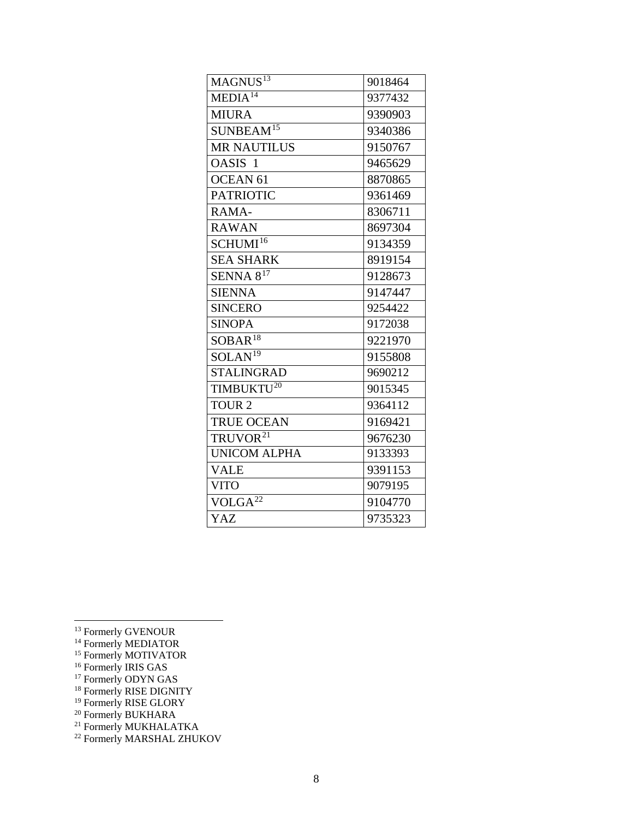| MAGNUS <sup>13</sup>   | 9018464 |
|------------------------|---------|
| MEDIA <sup>14</sup>    | 9377432 |
| <b>MIURA</b>           | 9390903 |
| SUNBEAM <sup>15</sup>  | 9340386 |
| <b>MR NAUTILUS</b>     | 9150767 |
| OASIS <sub>1</sub>     | 9465629 |
| <b>OCEAN 61</b>        | 8870865 |
| <b>PATRIOTIC</b>       | 9361469 |
| RAMA-                  | 8306711 |
| <b>RAWAN</b>           | 8697304 |
| SCHUMI <sup>16</sup>   | 9134359 |
| <b>SEA SHARK</b>       | 8919154 |
| SENNA $8^{17}$         | 9128673 |
| <b>SIENNA</b>          | 9147447 |
| <b>SINCERO</b>         | 9254422 |
| <b>SINOPA</b>          | 9172038 |
| $SOBAR$ <sup>18</sup>  | 9221970 |
| SOLAN <sup>19</sup>    | 9155808 |
| <b>STALINGRAD</b>      | 9690212 |
| TIMBUKTU <sup>20</sup> | 9015345 |
| TOUR <sub>2</sub>      | 9364112 |
| <b>TRUE OCEAN</b>      | 9169421 |
| TRUVOR <sup>21</sup>   | 9676230 |
| <b>UNICOM ALPHA</b>    | 9133393 |
| <b>VALE</b>            | 9391153 |
| <b>VITO</b>            | 9079195 |
| $VOLGA^{22}$           | 9104770 |
| YAZ                    | 9735323 |

- <span id="page-7-3"></span><sup>16</sup> Formerly IRIS GAS
- <span id="page-7-4"></span><sup>17</sup> Formerly ODYN GAS
- <span id="page-7-5"></span><sup>18</sup> Formerly RISE DIGNITY
- <span id="page-7-6"></span><sup>19</sup> Formerly RISE GLORY

<span id="page-7-0"></span><sup>&</sup>lt;sup>13</sup> Formerly GVENOUR

<span id="page-7-1"></span><sup>&</sup>lt;sup>14</sup> Formerly MEDIATOR

<span id="page-7-2"></span><sup>15</sup> Formerly MOTIVATOR

<span id="page-7-7"></span><sup>&</sup>lt;sup>20</sup> Formerly BUKHARA

<span id="page-7-8"></span><sup>&</sup>lt;sup>21</sup> Formerly MUKHALATKA

<span id="page-7-9"></span><sup>22</sup> Formerly MARSHAL ZHUKOV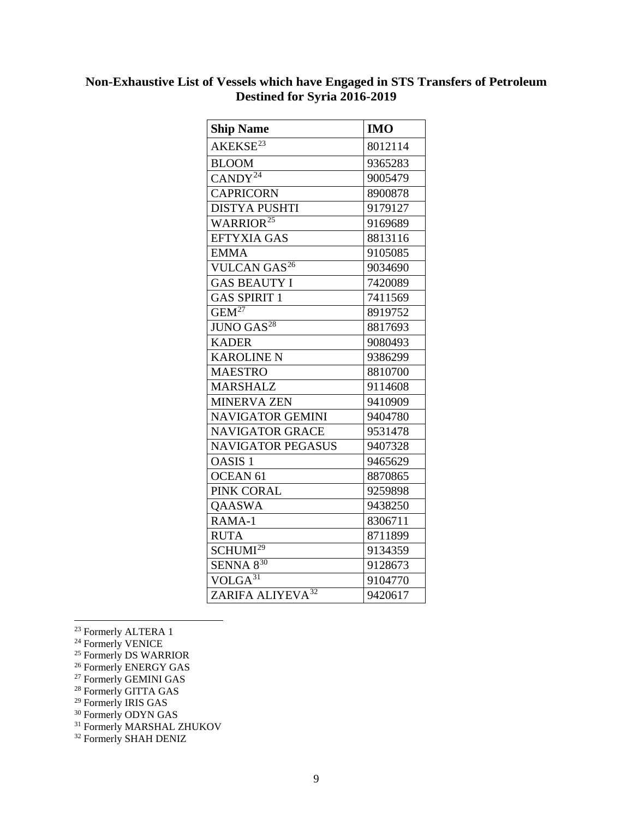# **Non-Exhaustive List of Vessels which have Engaged in STS Transfers of Petroleum Destined for Syria 2016-2019**

| <b>Ship Name</b>               | <b>IMO</b> |
|--------------------------------|------------|
| AKEKSE <sup>23</sup>           | 8012114    |
| <b>BLOOM</b>                   | 9365283    |
| $CANDY^{2\overline{4}}$        | 9005479    |
| <b>CAPRICORN</b>               | 8900878    |
| <b>DISTYA PUSHTI</b>           | 9179127    |
| WARRIOR <sup>25</sup>          | 9169689    |
| <b>EFTYXIA GAS</b>             | 8813116    |
| <b>EMMA</b>                    | 9105085    |
| <b>VULCAN GAS<sup>26</sup></b> | 9034690    |
| <b>GAS BEAUTY I</b>            | 7420089    |
| <b>GAS SPIRIT 1</b>            | 7411569    |
| $GEM^{27}$                     | 8919752    |
| <b>JUNO GAS</b> <sup>28</sup>  | 8817693    |
| <b>KADER</b>                   | 9080493    |
| <b>KAROLINE N</b>              | 9386299    |
| <b>MAESTRO</b>                 | 8810700    |
| <b>MARSHALZ</b>                | 9114608    |
| <b>MINERVA ZEN</b>             | 9410909    |
| <b>NAVIGATOR GEMINI</b>        | 9404780    |
| <b>NAVIGATOR GRACE</b>         | 9531478    |
| <b>NAVIGATOR PEGASUS</b>       | 9407328    |
| <b>OASIS1</b>                  | 9465629    |
| <b>OCEAN 61</b>                | 8870865    |
| PINK CORAL                     | 9259898    |
| <b>OAASWA</b>                  | 9438250    |
| RAMA-1                         | 8306711    |
| <b>RUTA</b>                    | 8711899    |
| SCHUMI <sup>29</sup>           | 9134359    |
| $SENNA 8^{30}$                 | 9128673    |
| $VOLGA^{31}$                   | 9104770    |
| ZARIFA ALIYEVA <sup>32</sup>   | 9420617    |

<span id="page-8-0"></span><sup>23</sup> Formerly ALTERA 1

<span id="page-8-6"></span><sup>29</sup> Formerly IRIS GAS

<sup>31</sup> Formerly MARSHAL ZHUKOV

<span id="page-8-1"></span><sup>&</sup>lt;sup>24</sup> Formerly VENICE

<span id="page-8-2"></span><sup>&</sup>lt;sup>25</sup> Formerly DS WARRIOR

<sup>&</sup>lt;sup>26</sup> Formerly ENERGY GAS

<span id="page-8-5"></span><span id="page-8-4"></span><span id="page-8-3"></span><sup>27</sup> Formerly GEMINI GAS

<sup>&</sup>lt;sup>28</sup> Formerly GITTA GAS

<span id="page-8-8"></span><span id="page-8-7"></span><sup>&</sup>lt;sup>30</sup> Formerly ODYN GAS

<span id="page-8-9"></span><sup>&</sup>lt;sup>32</sup> Formerly SHAH DENIZ